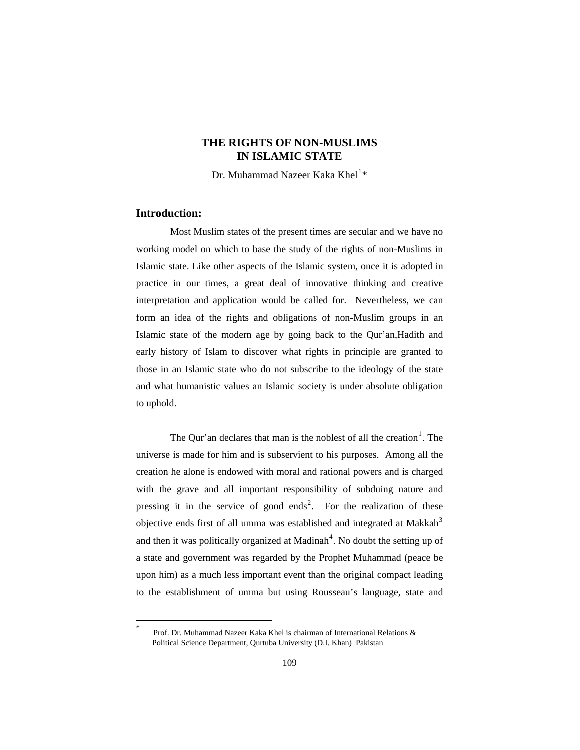# **THE RIGHTS OF NON-MUSLIMS IN ISLAMIC STATE**

Dr. Muhammad Nazeer Kaka Khel $^{1\ast}$  $^{1\ast}$  $^{1\ast}$ 

## **Introduction:**

<span id="page-0-0"></span> $\overline{a}$ 

 Most Muslim states of the present times are secular and we have no working model on which to base the study of the rights of non-Muslims in Islamic state. Like other aspects of the Islamic system, once it is adopted in practice in our times, a great deal of innovative thinking and creative interpretation and application would be called for. Nevertheless, we can form an idea of the rights and obligations of non-Muslim groups in an Islamic state of the modern age by going back to the Qur'an,Hadith and early history of Islam to discover what rights in principle are granted to those in an Islamic state who do not subscribe to the ideology of the state and what humanistic values an Islamic society is under absolute obligation to uphold.

The Qur'an declares that man is the noblest of all the creation<sup>[1](#page-20-0)</sup>. The universe is made for him and is subservient to his purposes. Among all the creation he alone is endowed with moral and rational powers and is charged with the grave and all important responsibility of subduing nature and pressing it in the service of good ends<sup>[2](#page-20-1)</sup>. For the realization of these objective ends first of all umma was established and integrated at Makkah<sup>[3](#page-20-1)</sup> and then it was politically organized at Madinah<sup>[4](#page-20-1)</sup>. No doubt the setting up of a state and government was regarded by the Prophet Muhammad (peace be upon him) as a much less important event than the original compact leading to the establishment of umma but using Rousseau's language, state and

Prof. Dr. Muhammad Nazeer Kaka Khel is chairman of International Relations & Political Science Department, Qurtuba University (D.I. Khan) Pakistan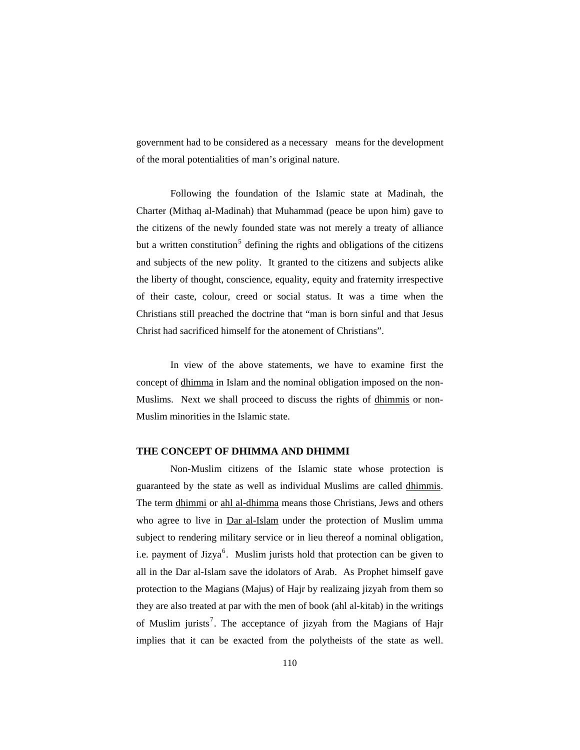government had to be considered as a necessary means for the development of the moral potentialities of man's original nature.

 Following the foundation of the Islamic state at Madinah, the Charter (Mithaq al-Madinah) that Muhammad (peace be upon him) gave to the citizens of the newly founded state was not merely a treaty of alliance but a written constitution<sup>[5](#page-20-1)</sup> defining the rights and obligations of the citizens and subjects of the new polity. It granted to the citizens and subjects alike the liberty of thought, conscience, equality, equity and fraternity irrespective of their caste, colour, creed or social status. It was a time when the Christians still preached the doctrine that "man is born sinful and that Jesus Christ had sacrificed himself for the atonement of Christians".

 In view of the above statements, we have to examine first the concept of dhimma in Islam and the nominal obligation imposed on the non-Muslims. Next we shall proceed to discuss the rights of dhimmis or non-Muslim minorities in the Islamic state.

### **THE CONCEPT OF DHIMMA AND DHIMMI**

 Non-Muslim citizens of the Islamic state whose protection is guaranteed by the state as well as individual Muslims are called dhimmis. The term dhimmi or ahl al-dhimma means those Christians, Jews and others who agree to live in Dar al-Islam under the protection of Muslim umma subject to rendering military service or in lieu thereof a nominal obligation, i.e. payment of Jizya $<sup>6</sup>$  $<sup>6</sup>$  $<sup>6</sup>$ . Muslim jurists hold that protection can be given to</sup> all in the Dar al-Islam save the idolators of Arab. As Prophet himself gave protection to the Magians (Majus) of Hajr by realizaing jizyah from them so they are also treated at par with the men of book (ahl al-kitab) in the writings of Muslim jurists<sup>[7](#page-20-1)</sup>. The acceptance of jizyah from the Magians of Hajr implies that it can be exacted from the polytheists of the state as well.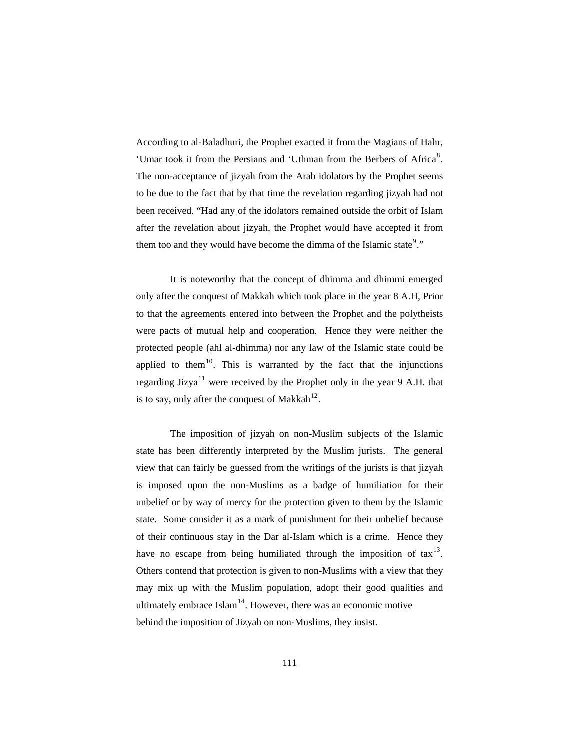According to al-Baladhuri, the Prophet exacted it from the Magians of Hahr, 'Umar took it from the Persians and 'Uthman from the Berbers of Africa<sup>[8](#page-20-1)</sup>. The non-acceptance of jizyah from the Arab idolators by the Prophet seems to be due to the fact that by that time the revelation regarding jizyah had not been received. "Had any of the idolators remained outside the orbit of Islam after the revelation about jizyah, the Prophet would have accepted it from them too and they would have become the dimma of the Islamic state<sup>[9](#page-20-1)</sup>."

 It is noteworthy that the concept of dhimma and dhimmi emerged only after the conquest of Makkah which took place in the year 8 A.H, Prior to that the agreements entered into between the Prophet and the polytheists were pacts of mutual help and cooperation. Hence they were neither the protected people (ahl al-dhimma) nor any law of the Islamic state could be applied to them<sup>[10](#page-20-1)</sup>. This is warranted by the fact that the injunctions regarding Jizya<sup>[11](#page-20-1)</sup> were received by the Prophet only in the year 9 A.H. that is to say, only after the conquest of Makkah<sup>[12](#page-20-1)</sup>.

 The imposition of jizyah on non-Muslim subjects of the Islamic state has been differently interpreted by the Muslim jurists. The general view that can fairly be guessed from the writings of the jurists is that jizyah is imposed upon the non-Muslims as a badge of humiliation for their unbelief or by way of mercy for the protection given to them by the Islamic state. Some consider it as a mark of punishment for their unbelief because of their continuous stay in the Dar al-Islam which is a crime. Hence they have no escape from being humiliated through the imposition of  $\text{tax}^{13}$  $\text{tax}^{13}$  $\text{tax}^{13}$ . Others contend that protection is given to non-Muslims with a view that they may mix up with the Muslim population, adopt their good qualities and ultimately embrace  $\text{Islam}^{14}$  $\text{Islam}^{14}$  $\text{Islam}^{14}$ . However, there was an economic motive behind the imposition of Jizyah on non-Muslims, they insist.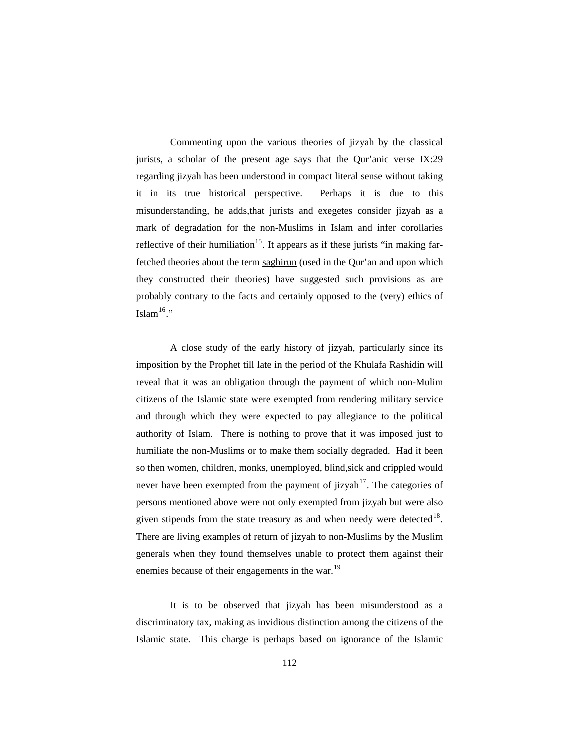Commenting upon the various theories of jizyah by the classical jurists, a scholar of the present age says that the Qur'anic verse IX:29 regarding jizyah has been understood in compact literal sense without taking it in its true historical perspective. Perhaps it is due to this misunderstanding, he adds,that jurists and exegetes consider jizyah as a mark of degradation for the non-Muslims in Islam and infer corollaries reflective of their humiliation<sup>[15](#page-20-1)</sup>. It appears as if these jurists "in making farfetched theories about the term saghirun (used in the Qur'an and upon which they constructed their theories) have suggested such provisions as are probably contrary to the facts and certainly opposed to the (very) ethics of Islam $16$ ."

A close study of the early history of jizyah, particularly since its imposition by the Prophet till late in the period of the Khulafa Rashidin will reveal that it was an obligation through the payment of which non-Mulim citizens of the Islamic state were exempted from rendering military service and through which they were expected to pay allegiance to the political authority of Islam. There is nothing to prove that it was imposed just to humiliate the non-Muslims or to make them socially degraded. Had it been so then women, children, monks, unemployed, blind,sick and crippled would never have been exempted from the payment of  $jizyah$ <sup>[17](#page-20-1)</sup>. The categories of persons mentioned above were not only exempted from jizyah but were also given stipends from the state treasury as and when needy were detected $18$ . There are living examples of return of jizyah to non-Muslims by the Muslim generals when they found themselves unable to protect them against their enemies because of their engagements in the war.<sup>[19](#page-20-1)</sup>

 It is to be observed that jizyah has been misunderstood as a discriminatory tax, making as invidious distinction among the citizens of the Islamic state. This charge is perhaps based on ignorance of the Islamic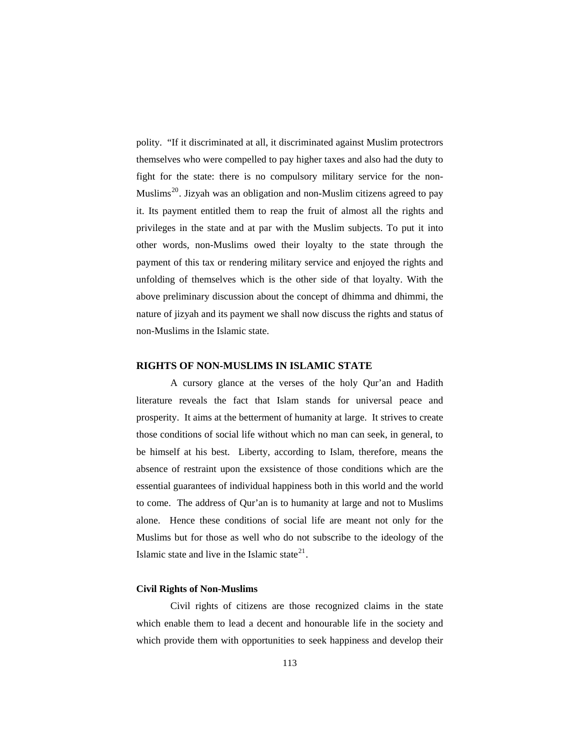polity. "If it discriminated at all, it discriminated against Muslim protectrors themselves who were compelled to pay higher taxes and also had the duty to fight for the state: there is no compulsory military service for the non-Muslims<sup>[20](#page-20-1)</sup>. Jizyah was an obligation and non-Muslim citizens agreed to pay it. Its payment entitled them to reap the fruit of almost all the rights and privileges in the state and at par with the Muslim subjects. To put it into other words, non-Muslims owed their loyalty to the state through the payment of this tax or rendering military service and enjoyed the rights and unfolding of themselves which is the other side of that loyalty. With the above preliminary discussion about the concept of dhimma and dhimmi, the nature of jizyah and its payment we shall now discuss the rights and status of non-Muslims in the Islamic state.

#### **RIGHTS OF NON-MUSLIMS IN ISLAMIC STATE**

 A cursory glance at the verses of the holy Qur'an and Hadith literature reveals the fact that Islam stands for universal peace and prosperity. It aims at the betterment of humanity at large. It strives to create those conditions of social life without which no man can seek, in general, to be himself at his best. Liberty, according to Islam, therefore, means the absence of restraint upon the exsistence of those conditions which are the essential guarantees of individual happiness both in this world and the world to come. The address of Qur'an is to humanity at large and not to Muslims alone. Hence these conditions of social life are meant not only for the Muslims but for those as well who do not subscribe to the ideology of the Islamic state and live in the Islamic state $2<sup>1</sup>$ .

#### **Civil Rights of Non-Muslims**

 Civil rights of citizens are those recognized claims in the state which enable them to lead a decent and honourable life in the society and which provide them with opportunities to seek happiness and develop their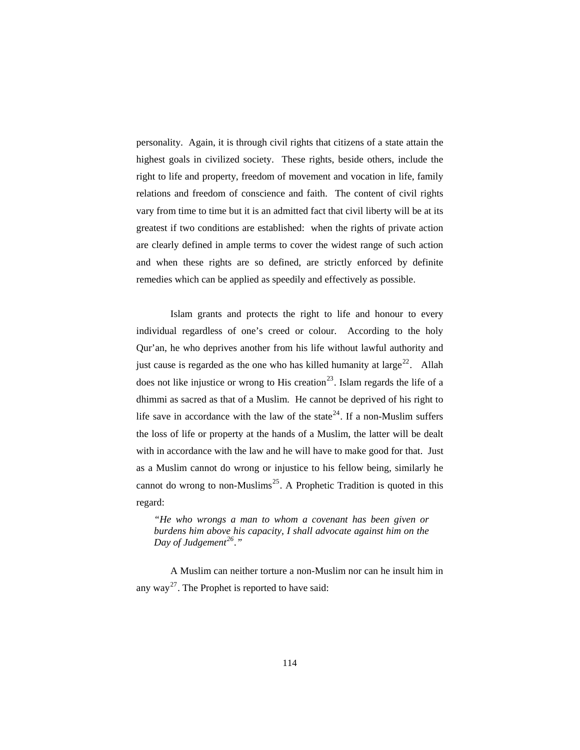personality. Again, it is through civil rights that citizens of a state attain the highest goals in civilized society. These rights, beside others, include the right to life and property, freedom of movement and vocation in life, family relations and freedom of conscience and faith. The content of civil rights vary from time to time but it is an admitted fact that civil liberty will be at its greatest if two conditions are established: when the rights of private action are clearly defined in ample terms to cover the widest range of such action and when these rights are so defined, are strictly enforced by definite remedies which can be applied as speedily and effectively as possible.

 Islam grants and protects the right to life and honour to every individual regardless of one's creed or colour. According to the holy Qur'an, he who deprives another from his life without lawful authority and just cause is regarded as the one who has killed humanity at large<sup>[22](#page-20-1)</sup>. Allah does not like injustice or wrong to His creation<sup>[23](#page-20-1)</sup>. Islam regards the life of a dhimmi as sacred as that of a Muslim. He cannot be deprived of his right to life save in accordance with the law of the state<sup>[24](#page-20-1)</sup>. If a non-Muslim suffers the loss of life or property at the hands of a Muslim, the latter will be dealt with in accordance with the law and he will have to make good for that. Just as a Muslim cannot do wrong or injustice to his fellow being, similarly he cannot do wrong to non-Muslims<sup>[25](#page-20-1)</sup>. A Prophetic Tradition is quoted in this regard:

*"He who wrongs a man to whom a covenant has been given or burdens him above his capacity, I shall advocate against him on the Day of Judgement[26](#page-20-1)."* 

 A Muslim can neither torture a non-Muslim nor can he insult him in any way<sup>[27](#page-20-1)</sup>. The Prophet is reported to have said: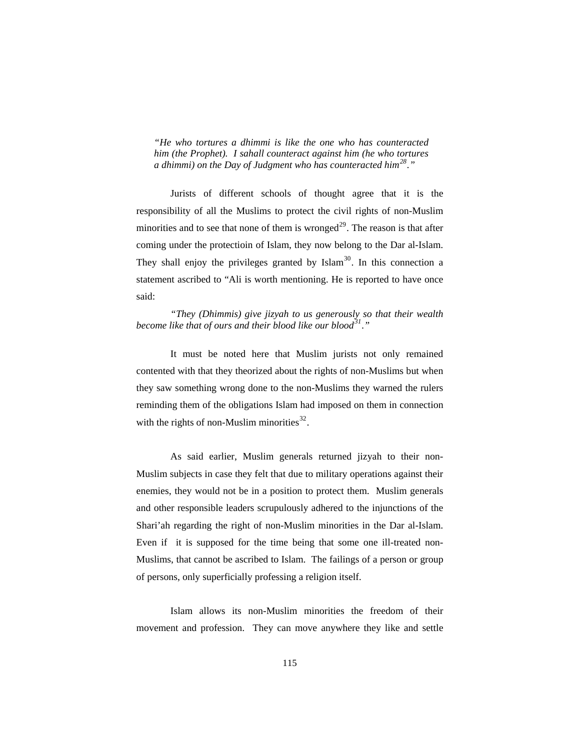*"He who tortures a dhimmi is like the one who has counteracted him (the Prophet). I sahall counteract against him (he who tortures a dhimmi) on the Day of Judgment who has counteracted him[28](#page-20-1)."* 

 Jurists of different schools of thought agree that it is the responsibility of all the Muslims to protect the civil rights of non-Muslim minorities and to see that none of them is wronged<sup>[29](#page-20-1)</sup>. The reason is that after coming under the protectioin of Islam, they now belong to the Dar al-Islam. They shall enjoy the privileges granted by  $\text{Islam}^{30}$  $\text{Islam}^{30}$  $\text{Islam}^{30}$ . In this connection a statement ascribed to "Ali is worth mentioning. He is reported to have once said:

*"They (Dhimmis) give jizyah to us generously so that their wealth become like that of ours and their blood like our blood[31](#page-20-1)."* 

 It must be noted here that Muslim jurists not only remained contented with that they theorized about the rights of non-Muslims but when they saw something wrong done to the non-Muslims they warned the rulers reminding them of the obligations Islam had imposed on them in connection with the rights of non-Muslim minorities $^{32}$  $^{32}$  $^{32}$ .

 As said earlier, Muslim generals returned jizyah to their non-Muslim subjects in case they felt that due to military operations against their enemies, they would not be in a position to protect them. Muslim generals and other responsible leaders scrupulously adhered to the injunctions of the Shari'ah regarding the right of non-Muslim minorities in the Dar al-Islam. Even if it is supposed for the time being that some one ill-treated non-Muslims, that cannot be ascribed to Islam. The failings of a person or group of persons, only superficially professing a religion itself.

 Islam allows its non-Muslim minorities the freedom of their movement and profession. They can move anywhere they like and settle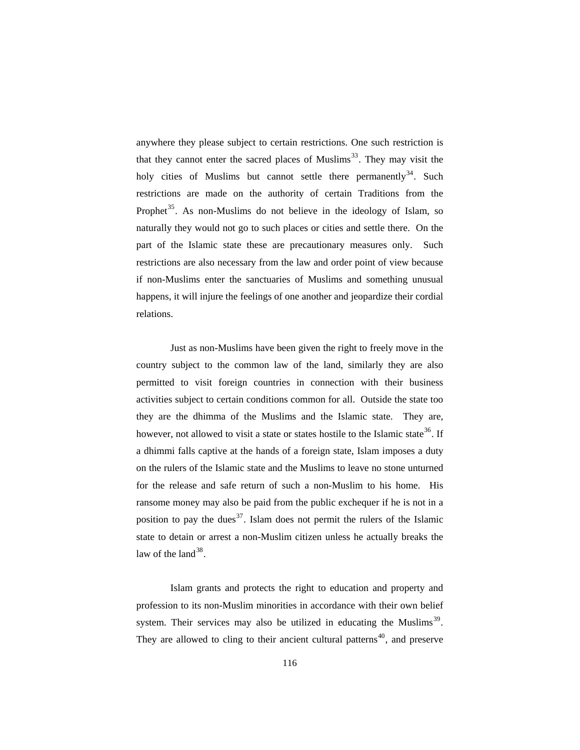anywhere they please subject to certain restrictions. One such restriction is that they cannot enter the sacred places of Muslims<sup>[33](#page-20-1)</sup>. They may visit the holy cities of Muslims but cannot settle there permanently<sup>[34](#page-20-1)</sup>. Such restrictions are made on the authority of certain Traditions from the Prophet<sup>[35](#page-20-1)</sup>. As non-Muslims do not believe in the ideology of Islam, so naturally they would not go to such places or cities and settle there. On the part of the Islamic state these are precautionary measures only. Such restrictions are also necessary from the law and order point of view because if non-Muslims enter the sanctuaries of Muslims and something unusual happens, it will injure the feelings of one another and jeopardize their cordial relations.

 Just as non-Muslims have been given the right to freely move in the country subject to the common law of the land, similarly they are also permitted to visit foreign countries in connection with their business activities subject to certain conditions common for all. Outside the state too they are the dhimma of the Muslims and the Islamic state. They are, however, not allowed to visit a state or states hostile to the Islamic state<sup>[36](#page-20-1)</sup>. If a dhimmi falls captive at the hands of a foreign state, Islam imposes a duty on the rulers of the Islamic state and the Muslims to leave no stone unturned for the release and safe return of such a non-Muslim to his home. His ransome money may also be paid from the public exchequer if he is not in a position to pay the dues<sup>[37](#page-20-1)</sup>. Islam does not permit the rulers of the Islamic state to detain or arrest a non-Muslim citizen unless he actually breaks the law of the land  $38$ .

 Islam grants and protects the right to education and property and profession to its non-Muslim minorities in accordance with their own belief system. Their services may also be utilized in educating the Muslims<sup>[39](#page-20-1)</sup>. They are allowed to cling to their ancient cultural patterns<sup>[40](#page-20-1)</sup>, and preserve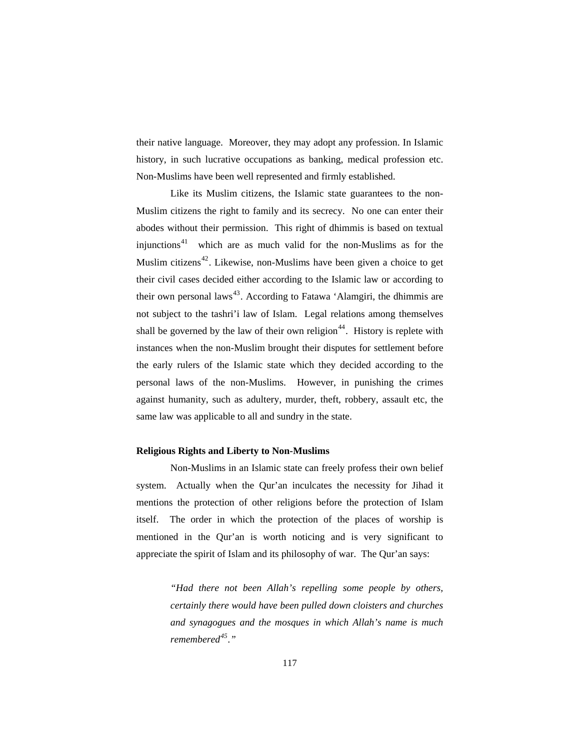their native language. Moreover, they may adopt any profession. In Islamic history, in such lucrative occupations as banking, medical profession etc. Non-Muslims have been well represented and firmly established.

 Like its Muslim citizens, the Islamic state guarantees to the non-Muslim citizens the right to family and its secrecy. No one can enter their abodes without their permission. This right of dhimmis is based on textual injunctions $41$  which are as much valid for the non-Muslims as for the Muslim citizens<sup>[42](#page-20-1)</sup>. Likewise, non-Muslims have been given a choice to get their civil cases decided either according to the Islamic law or according to their own personal laws<sup>[43](#page-20-1)</sup>. According to Fatawa 'Alamgiri, the dhimmis are not subject to the tashri'i law of Islam. Legal relations among themselves shall be governed by the law of their own religion<sup>[44](#page-20-1)</sup>. History is replete with instances when the non-Muslim brought their disputes for settlement before the early rulers of the Islamic state which they decided according to the personal laws of the non-Muslims. However, in punishing the crimes against humanity, such as adultery, murder, theft, robbery, assault etc, the same law was applicable to all and sundry in the state.

### **Religious Rights and Liberty to Non-Muslims**

 Non-Muslims in an Islamic state can freely profess their own belief system. Actually when the Qur'an inculcates the necessity for Jihad it mentions the protection of other religions before the protection of Islam itself. The order in which the protection of the places of worship is mentioned in the Qur'an is worth noticing and is very significant to appreciate the spirit of Islam and its philosophy of war. The Qur'an says:

> *"Had there not been Allah's repelling some people by others, certainly there would have been pulled down cloisters and churches and synagogues and the mosques in which Allah's name is much remembered[45](#page-20-1)."*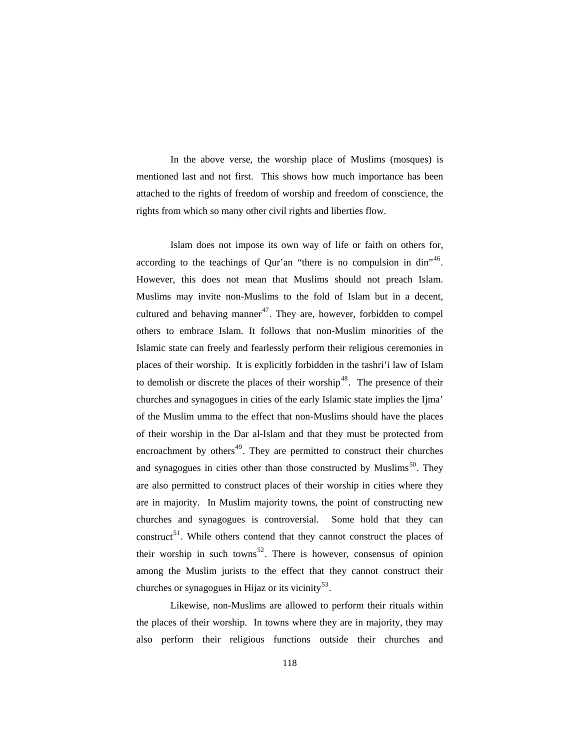In the above verse, the worship place of Muslims (mosques) is mentioned last and not first. This shows how much importance has been attached to the rights of freedom of worship and freedom of conscience, the rights from which so many other civil rights and liberties flow.

 Islam does not impose its own way of life or faith on others for, according to the teachings of Qur'an "there is no compulsion in din"<sup>[46](#page-20-1)</sup>. However, this does not mean that Muslims should not preach Islam. Muslims may invite non-Muslims to the fold of Islam but in a decent, cultured and behaving manner<sup>[47](#page-20-1)</sup>. They are, however, forbidden to compel others to embrace Islam. It follows that non-Muslim minorities of the Islamic state can freely and fearlessly perform their religious ceremonies in places of their worship. It is explicitly forbidden in the tashri'i law of Islam to demolish or discrete the places of their worship<sup>[48](#page-20-1)</sup>. The presence of their churches and synagogues in cities of the early Islamic state implies the Ijma' of the Muslim umma to the effect that non-Muslims should have the places of their worship in the Dar al-Islam and that they must be protected from encroachment by others $49$ . They are permitted to construct their churches and synagogues in cities other than those constructed by Muslims<sup>[50](#page-20-1)</sup>. They are also permitted to construct places of their worship in cities where they are in majority. In Muslim majority towns, the point of constructing new churches and synagogues is controversial. Some hold that they can construct<sup>[51](#page-20-1)</sup>. While others contend that they cannot construct the places of their worship in such towns<sup>[52](#page-20-1)</sup>. There is however, consensus of opinion among the Muslim jurists to the effect that they cannot construct their churches or synagogues in Hijaz or its vicinity<sup>[53](#page-20-1)</sup>.

 Likewise, non-Muslims are allowed to perform their rituals within the places of their worship. In towns where they are in majority, they may also perform their religious functions outside their churches and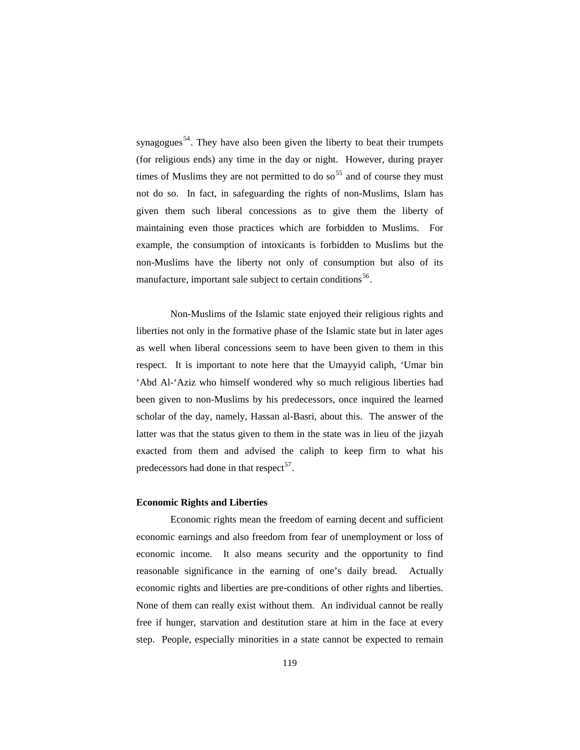synagogues<sup>[54](#page-20-1)</sup>. They have also been given the liberty to beat their trumpets (for religious ends) any time in the day or night. However, during prayer times of Muslims they are not permitted to do so  $5<sup>55</sup>$  $5<sup>55</sup>$  $5<sup>55</sup>$  and of course they must not do so. In fact, in safeguarding the rights of non-Muslims, Islam has given them such liberal concessions as to give them the liberty of maintaining even those practices which are forbidden to Muslims. For example, the consumption of intoxicants is forbidden to Muslims but the non-Muslims have the liberty not only of consumption but also of its manufacture, important sale subject to certain conditions<sup>[56](#page-20-1)</sup>.

 Non-Muslims of the Islamic state enjoyed their religious rights and liberties not only in the formative phase of the Islamic state but in later ages as well when liberal concessions seem to have been given to them in this respect. It is important to note here that the Umayyid caliph, 'Umar bin 'Abd Al-'Aziz who himself wondered why so much religious liberties had been given to non-Muslims by his predecessors, once inquired the learned scholar of the day, namely, Hassan al-Basri, about this. The answer of the latter was that the status given to them in the state was in lieu of the jizyah exacted from them and advised the caliph to keep firm to what his predecessors had done in that respect<sup>[57](#page-20-1)</sup>.

#### **Economic Rights and Liberties**

 Economic rights mean the freedom of earning decent and sufficient economic earnings and also freedom from fear of unemployment or loss of economic income. It also means security and the opportunity to find reasonable significance in the earning of one's daily bread. Actually economic rights and liberties are pre-conditions of other rights and liberties. None of them can really exist without them. An individual cannot be really free if hunger, starvation and destitution stare at him in the face at every step. People, especially minorities in a state cannot be expected to remain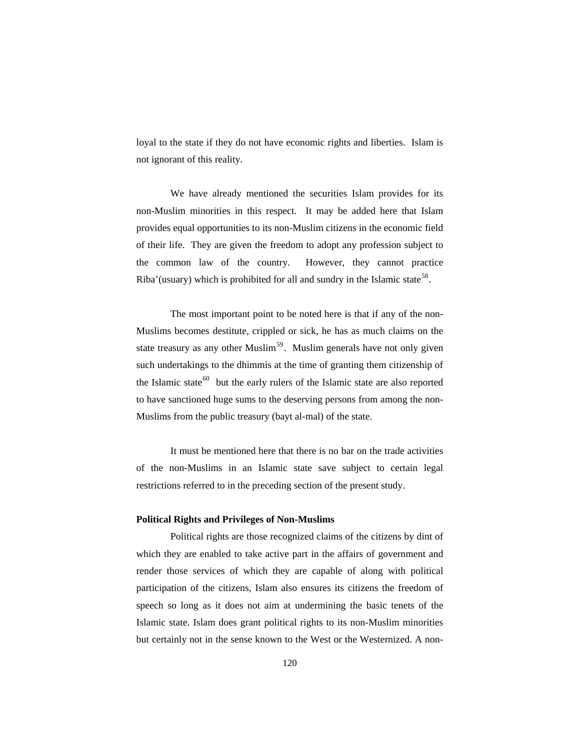loyal to the state if they do not have economic rights and liberties. Islam is not ignorant of this reality.

 We have already mentioned the securities Islam provides for its non-Muslim minorities in this respect. It may be added here that Islam provides equal opportunities to its non-Muslim citizens in the economic field of their life. They are given the freedom to adopt any profession subject to the common law of the country. However, they cannot practice Riba'(usuary) which is prohibited for all and sundry in the Islamic state<sup>[58](#page-20-1)</sup>.

 The most important point to be noted here is that if any of the non-Muslims becomes destitute, crippled or sick, he has as much claims on the state treasury as any other Muslim<sup>[59](#page-20-1)</sup>. Muslim generals have not only given such undertakings to the dhimmis at the time of granting them citizenship of the Islamic state<sup>[60](#page-20-1)</sup> but the early rulers of the Islamic state are also reported to have sanctioned huge sums to the deserving persons from among the non-Muslims from the public treasury (bayt al-mal) of the state.

 It must be mentioned here that there is no bar on the trade activities of the non-Muslims in an Islamic state save subject to certain legal restrictions referred to in the preceding section of the present study.

#### **Political Rights and Privileges of Non-Muslims**

 Political rights are those recognized claims of the citizens by dint of which they are enabled to take active part in the affairs of government and render those services of which they are capable of along with political participation of the citizens, Islam also ensures its citizens the freedom of speech so long as it does not aim at undermining the basic tenets of the Islamic state. Islam does grant political rights to its non-Muslim minorities but certainly not in the sense known to the West or the Westernized. A non-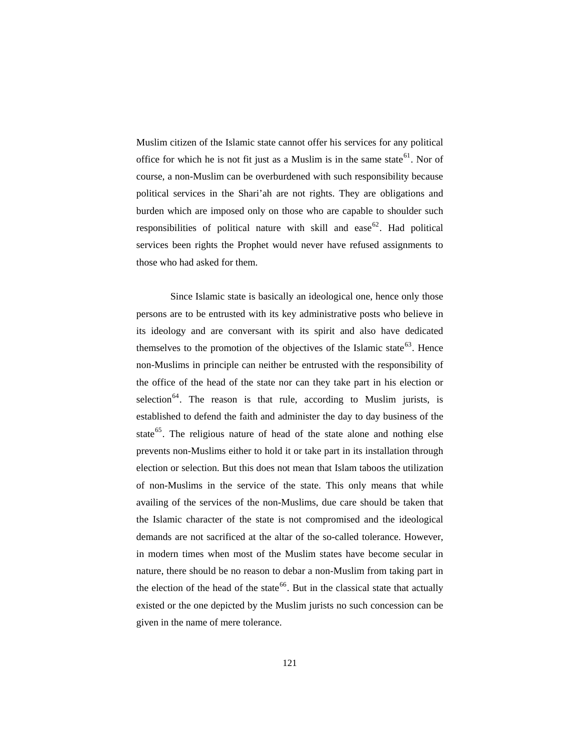Muslim citizen of the Islamic state cannot offer his services for any political office for which he is not fit just as a Muslim is in the same state<sup>[61](#page-20-1)</sup>. Nor of course, a non-Muslim can be overburdened with such responsibility because political services in the Shari'ah are not rights. They are obligations and burden which are imposed only on those who are capable to shoulder such responsibilities of political nature with skill and ease  $62$ . Had political services been rights the Prophet would never have refused assignments to those who had asked for them.

 Since Islamic state is basically an ideological one, hence only those persons are to be entrusted with its key administrative posts who believe in its ideology and are conversant with its spirit and also have dedicated themselves to the promotion of the objectives of the Islamic state<sup>[63](#page-20-1)</sup>. Hence non-Muslims in principle can neither be entrusted with the responsibility of the office of the head of the state nor can they take part in his election or selection<sup>[64](#page-20-1)</sup>. The reason is that rule, according to Muslim jurists, is established to defend the faith and administer the day to day business of the state<sup>[65](#page-20-1)</sup>. The religious nature of head of the state alone and nothing else prevents non-Muslims either to hold it or take part in its installation through election or selection. But this does not mean that Islam taboos the utilization of non-Muslims in the service of the state. This only means that while availing of the services of the non-Muslims, due care should be taken that the Islamic character of the state is not compromised and the ideological demands are not sacrificed at the altar of the so-called tolerance. However, in modern times when most of the Muslim states have become secular in nature, there should be no reason to debar a non-Muslim from taking part in the election of the head of the state<sup>[66](#page-20-1)</sup>. But in the classical state that actually existed or the one depicted by the Muslim jurists no such concession can be given in the name of mere tolerance.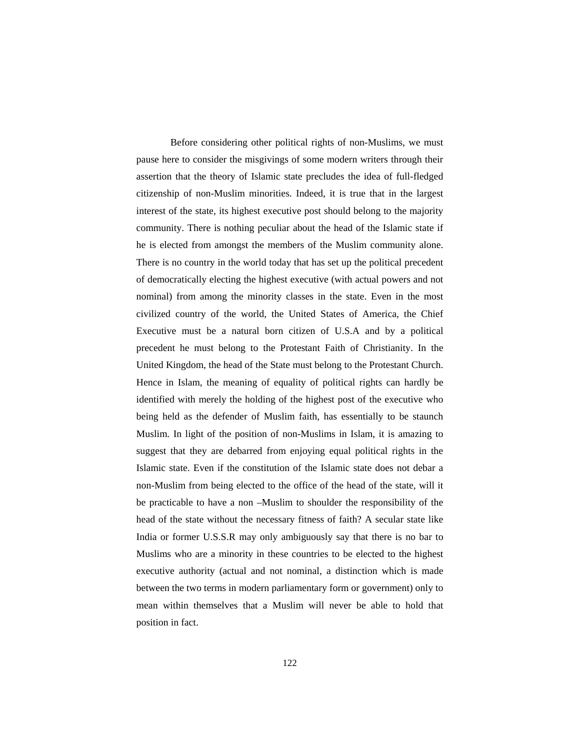Before considering other political rights of non-Muslims, we must pause here to consider the misgivings of some modern writers through their assertion that the theory of Islamic state precludes the idea of full-fledged citizenship of non-Muslim minorities. Indeed, it is true that in the largest interest of the state, its highest executive post should belong to the majority community. There is nothing peculiar about the head of the Islamic state if he is elected from amongst the members of the Muslim community alone. There is no country in the world today that has set up the political precedent of democratically electing the highest executive (with actual powers and not nominal) from among the minority classes in the state. Even in the most civilized country of the world, the United States of America, the Chief Executive must be a natural born citizen of U.S.A and by a political precedent he must belong to the Protestant Faith of Christianity. In the United Kingdom, the head of the State must belong to the Protestant Church. Hence in Islam, the meaning of equality of political rights can hardly be identified with merely the holding of the highest post of the executive who being held as the defender of Muslim faith, has essentially to be staunch Muslim. In light of the position of non-Muslims in Islam, it is amazing to suggest that they are debarred from enjoying equal political rights in the Islamic state. Even if the constitution of the Islamic state does not debar a non-Muslim from being elected to the office of the head of the state, will it be practicable to have a non –Muslim to shoulder the responsibility of the head of the state without the necessary fitness of faith? A secular state like India or former U.S.S.R may only ambiguously say that there is no bar to Muslims who are a minority in these countries to be elected to the highest executive authority (actual and not nominal, a distinction which is made between the two terms in modern parliamentary form or government) only to mean within themselves that a Muslim will never be able to hold that position in fact.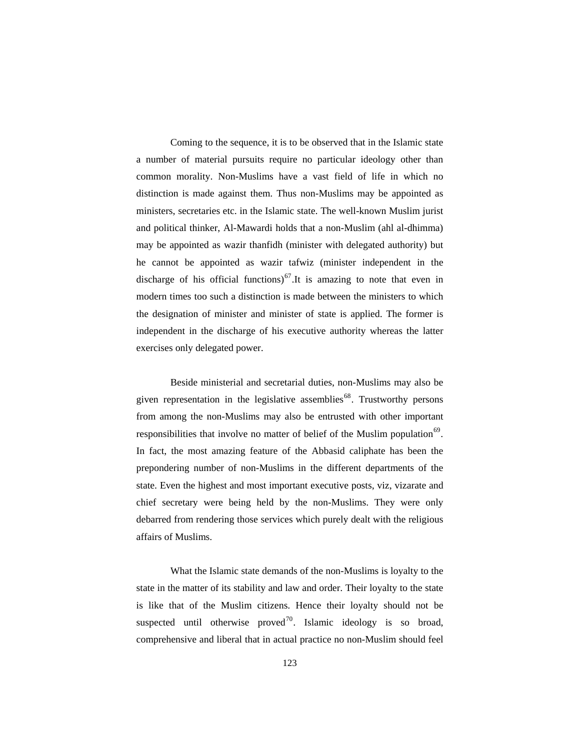Coming to the sequence, it is to be observed that in the Islamic state a number of material pursuits require no particular ideology other than common morality. Non-Muslims have a vast field of life in which no distinction is made against them. Thus non-Muslims may be appointed as ministers, secretaries etc. in the Islamic state. The well-known Muslim jurist and political thinker, Al-Mawardi holds that a non-Muslim (ahl al-dhimma) may be appointed as wazir thanfidh (minister with delegated authority) but he cannot be appointed as wazir tafwiz (minister independent in the discharge of his official functions)<sup>[67](#page-20-1)</sup>.It is amazing to note that even in modern times too such a distinction is made between the ministers to which the designation of minister and minister of state is applied. The former is independent in the discharge of his executive authority whereas the latter exercises only delegated power.

 Beside ministerial and secretarial duties, non-Muslims may also be given representation in the legislative assemblies<sup>[68](#page-20-1)</sup>. Trustworthy persons from among the non-Muslims may also be entrusted with other important responsibilities that involve no matter of belief of the Muslim population<sup>[69](#page-20-1)</sup>. In fact, the most amazing feature of the Abbasid caliphate has been the prepondering number of non-Muslims in the different departments of the state. Even the highest and most important executive posts, viz, vizarate and chief secretary were being held by the non-Muslims. They were only debarred from rendering those services which purely dealt with the religious affairs of Muslims.

 What the Islamic state demands of the non-Muslims is loyalty to the state in the matter of its stability and law and order. Their loyalty to the state is like that of the Muslim citizens. Hence their loyalty should not be suspected until otherwise proved<sup>[70](#page-20-1)</sup>. Islamic ideology is so broad, comprehensive and liberal that in actual practice no non-Muslim should feel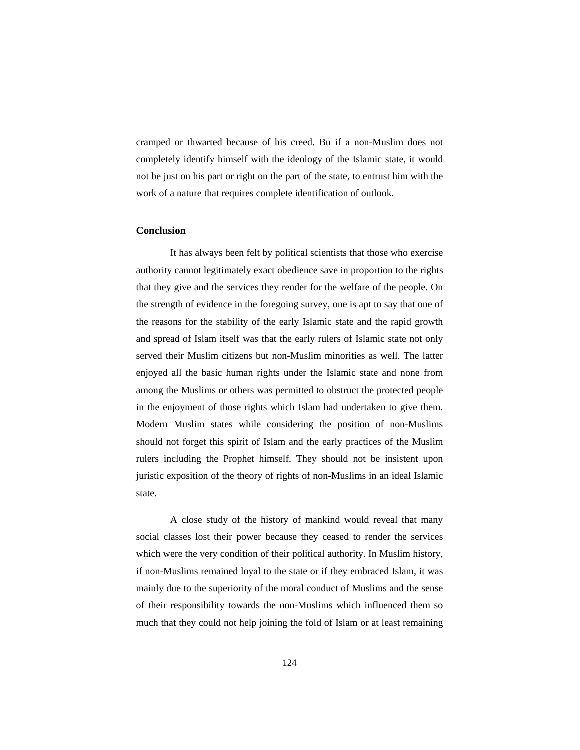cramped or thwarted because of his creed. Bu if a non-Muslim does not completely identify himself with the ideology of the Islamic state, it would not be just on his part or right on the part of the state, to entrust him with the work of a nature that requires complete identification of outlook.

## **Conclusion**

 It has always been felt by political scientists that those who exercise authority cannot legitimately exact obedience save in proportion to the rights that they give and the services they render for the welfare of the people. On the strength of evidence in the foregoing survey, one is apt to say that one of the reasons for the stability of the early Islamic state and the rapid growth and spread of Islam itself was that the early rulers of Islamic state not only served their Muslim citizens but non-Muslim minorities as well. The latter enjoyed all the basic human rights under the Islamic state and none from among the Muslims or others was permitted to obstruct the protected people in the enjoyment of those rights which Islam had undertaken to give them. Modern Muslim states while considering the position of non-Muslims should not forget this spirit of Islam and the early practices of the Muslim rulers including the Prophet himself. They should not be insistent upon juristic exposition of the theory of rights of non-Muslims in an ideal Islamic state.

 A close study of the history of mankind would reveal that many social classes lost their power because they ceased to render the services which were the very condition of their political authority. In Muslim history, if non-Muslims remained loyal to the state or if they embraced Islam, it was mainly due to the superiority of the moral conduct of Muslims and the sense of their responsibility towards the non-Muslims which influenced them so much that they could not help joining the fold of Islam or at least remaining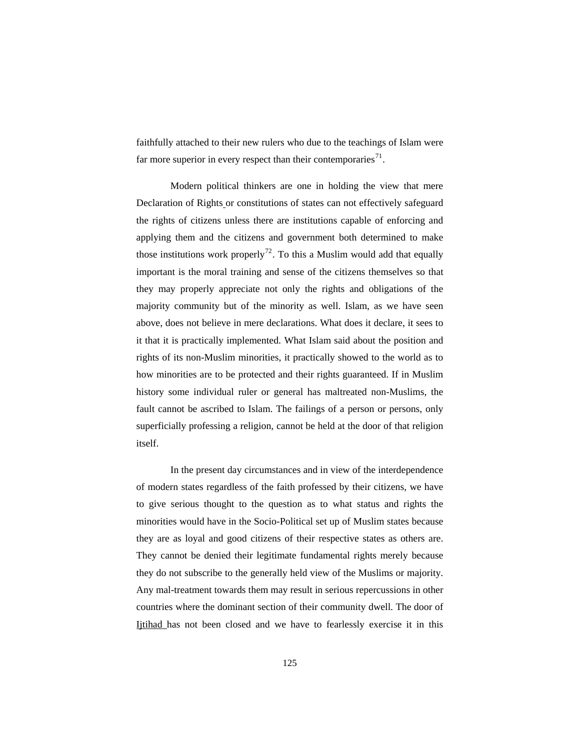faithfully attached to their new rulers who due to the teachings of Islam were far more superior in every respect than their contemporaries<sup>[71](#page-20-1)</sup>.

 Modern political thinkers are one in holding the view that mere Declaration of Rights or constitutions of states can not effectively safeguard the rights of citizens unless there are institutions capable of enforcing and applying them and the citizens and government both determined to make those institutions work properly<sup>[72](#page-20-1)</sup>. To this a Muslim would add that equally important is the moral training and sense of the citizens themselves so that they may properly appreciate not only the rights and obligations of the majority community but of the minority as well. Islam, as we have seen above, does not believe in mere declarations. What does it declare, it sees to it that it is practically implemented. What Islam said about the position and rights of its non-Muslim minorities, it practically showed to the world as to how minorities are to be protected and their rights guaranteed. If in Muslim history some individual ruler or general has maltreated non-Muslims, the fault cannot be ascribed to Islam. The failings of a person or persons, only superficially professing a religion, cannot be held at the door of that religion itself.

 In the present day circumstances and in view of the interdependence of modern states regardless of the faith professed by their citizens, we have to give serious thought to the question as to what status and rights the minorities would have in the Socio-Political set up of Muslim states because they are as loyal and good citizens of their respective states as others are. They cannot be denied their legitimate fundamental rights merely because they do not subscribe to the generally held view of the Muslims or majority. Any mal-treatment towards them may result in serious repercussions in other countries where the dominant section of their community dwell. The door of Ijtihad has not been closed and we have to fearlessly exercise it in this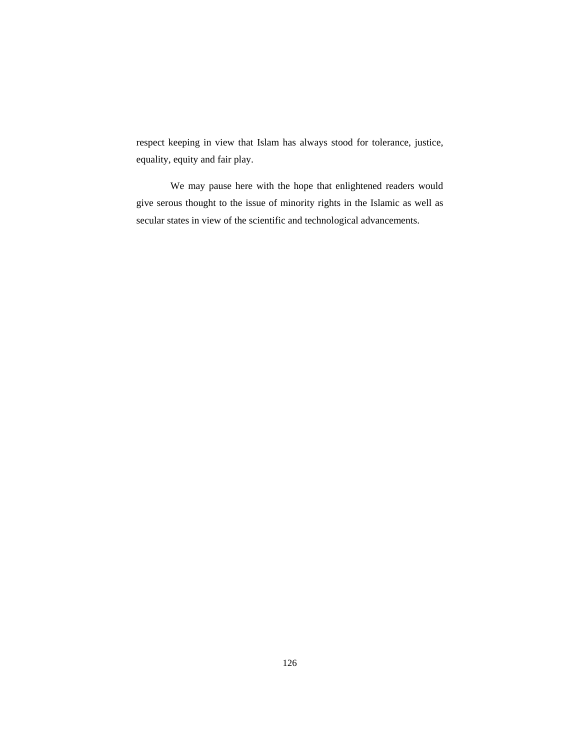respect keeping in view that Islam has always stood for tolerance, justice, equality, equity and fair play.

 We may pause here with the hope that enlightened readers would give serous thought to the issue of minority rights in the Islamic as well as secular states in view of the scientific and technological advancements.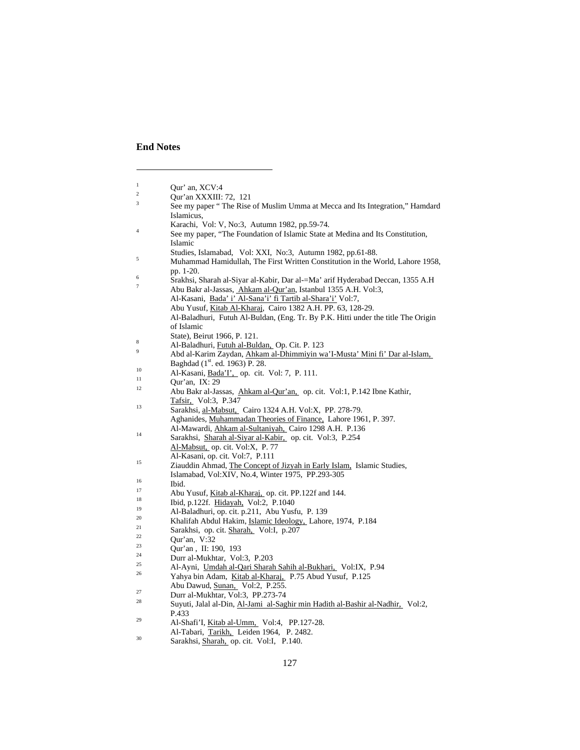# **End Notes**

 $\overline{a}$ 

| $\mathbf{1}$   | Our' an, XCV:4                                                                                |
|----------------|-----------------------------------------------------------------------------------------------|
| $\overline{c}$ | Qur'an XXXIII: 72, 121                                                                        |
| 3              | See my paper "The Rise of Muslim Umma at Mecca and Its Integration," Hamdard                  |
|                | Islamicus,                                                                                    |
|                | Karachi, Vol: V, No: 3, Autumn 1982, pp. 59-74.                                               |
| $\overline{4}$ | See my paper, "The Foundation of Islamic State at Medina and Its Constitution,                |
|                | Islamic                                                                                       |
|                | Studies, Islamabad, Vol: XXI, No:3, Autumn 1982, pp.61-88.                                    |
| 5              | Muhammad Hamidullah, The First Written Constitution in the World, Lahore 1958,                |
|                | pp. 1-20.                                                                                     |
| 6              | Srakhsi, Sharah al-Siyar al-Kabir, Dar al-=Ma' arif Hyderabad Deccan, 1355 A.H                |
| 7              | Abu Bakr al-Jassas, Ahkam al-Qur'an, Istanbul 1355 A.H. Vol:3,                                |
|                | Al-Kasani, Bada' i' Al-Sana'i' fi Tartib al-Shara'i' Vol:7,                                   |
|                | Abu Yusuf, Kitab Al-Kharaj, Cairo 1382 A.H. PP. 63, 128-29.                                   |
|                | Al-Baladhuri, Futuh Al-Buldan, (Eng. Tr. By P.K. Hitti under the title The Origin             |
|                | of Islamic                                                                                    |
|                | State), Beirut 1966, P. 121.                                                                  |
| 8              | Al-Baladhuri, Futuh al-Buldan, Op. Cit. P. 123                                                |
| 9              | Abd al-Karim Zaydan, Ahkam al-Dhimmiyin wa'I-Musta' Mini fi' Dar al-Islam,                    |
|                | Baghdad (1 <sup>st</sup> . ed. 1963) P. 28.                                                   |
| 10             | Al-Kasani, Bada'I', op. cit. Vol: 7, P. 111.                                                  |
| 11             | Our'an, IX: $29$                                                                              |
| 12             | Abu Bakr al-Jassas, Ahkam al-Qur'an, op. cit. Vol:1, P.142 Ibne Kathir,                       |
| 13             | Tafsir, Vol:3, P.347                                                                          |
|                | Sarakhsi, al-Mabsut, Cairo 1324 A.H. Vol:X, PP. 278-79.                                       |
|                | Aghanides, Muhammadan Theories of Finance, Lahore 1961, P. 397.                               |
| 14             | Al-Mawardi, Ahkam al-Sultaniyah, Cairo 1298 A.H. P.136                                        |
|                | Sarakhsi, Sharah al-Siyar al-Kabir, op. cit. Vol:3, P.254                                     |
|                | Al-Mabsut, op. cit. Vol:X, P. 77                                                              |
| 15             | Al-Kasani, op. cit. Vol:7, P.111                                                              |
|                | Ziauddin Ahmad, The Concept of Jizyah in Early Islam, Islamic Studies,                        |
| 16             | Islamabad, Vol:XIV, No.4, Winter 1975, PP.293-305                                             |
| 17             | Ibid.                                                                                         |
| 18             | Abu Yusuf, Kitab al-Kharaj, op. cit. PP.122f and 144.<br>Ibid, p.122f. Hidayah, Vol:2, P.1040 |
| 19             | Al-Baladhuri, op. cit. p.211, Abu Yusfu, P. 139                                               |
| 20             | Khalifah Abdul Hakim, Islamic Ideology, Lahore, 1974, P.184                                   |
| 21             | Sarakhsi, op. cit. Sharah, Vol:I, p.207                                                       |
| 22             | Qur'an, V:32                                                                                  |
| 23             | Qur'an, II: 190, 193                                                                          |
| 24             | Durr al-Mukhtar, Vol:3, P.203                                                                 |
| 25             | Al-Ayni, Umdah al-Qari Sharah Sahih al-Bukhari, Vol:IX, P.94                                  |
| 26             | Yahya bin Adam, Kitab al-Kharaj, P.75 Abud Yusuf, P.125                                       |
|                | Abu Dawud, Sunan, Vol:2, P.255.                                                               |
| 27             | Durr al-Mukhtar, Vol:3, PP.273-74                                                             |
| 28             | Suyuti, Jalal al-Din, Al-Jami al-Saghir min Hadith al-Bashir al-Nadhir, Vol:2,                |
|                | P.433                                                                                         |
| 29             | Al-Shafi'I, Kitab al-Umm, Vol:4, PP.127-28.                                                   |
|                |                                                                                               |

Al-Tabari, Tarikh, Leiden 1964, P. 2482.<br><sup>30</sup> Sarakhsi, <u>Sharah,</u> op. cit. Vol:I, P. 140.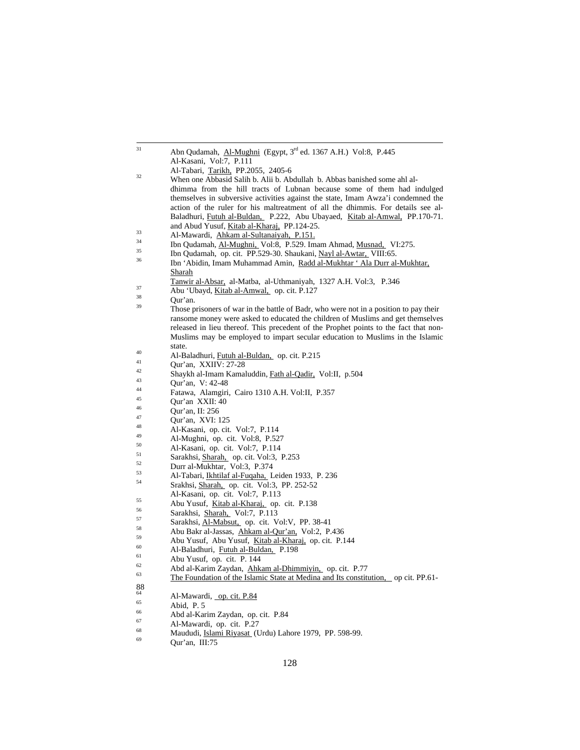| 31 | Abn Qudamah, Al-Mughni (Egypt, 3 <sup>rd</sup> ed. 1367 A.H.) Vol:8, P.445                                                                                              |
|----|-------------------------------------------------------------------------------------------------------------------------------------------------------------------------|
|    | Al-Kasani, Vol:7, P.111                                                                                                                                                 |
| 32 | Al-Tabari, Tarikh, PP.2055, 2405-6                                                                                                                                      |
|    | When one Abbasid Salih b. Alii b. Abdullah b. Abbas banished some ahl al-                                                                                               |
|    | dhimma from the hill tracts of Lubnan because some of them had indulged                                                                                                 |
|    | themselves in subversive activities against the state, Imam Awza'i condemned the                                                                                        |
|    | action of the ruler for his maltreatment of all the dhimmis. For details see al-                                                                                        |
|    | Baladhuri, Futuh al-Buldan, P.222, Abu Ubayaed, Kitab al-Amwal, PP.170-71.                                                                                              |
| 33 | and Abud Yusuf, <i>Kitab al-Kharaj</i> , PP.124-25.                                                                                                                     |
| 34 | Al-Mawardi, Ahkam al-Sultanaiyah, P.151.                                                                                                                                |
| 35 | Ibn Qudamah, Al-Mughni, Vol:8, P.529. Imam Ahmad, Musnad, VI:275.                                                                                                       |
| 36 | Ibn Qudamah, op. cit. PP.529-30. Shaukani, Nayl al-Awtar, VIII:65.                                                                                                      |
|    | Ibn 'Abidin, Imam Muhammad Amin, Radd al-Mukhtar ' Ala Durr al-Mukhtar,                                                                                                 |
|    | Sharah                                                                                                                                                                  |
| 37 | Tanwir al-Absar, al-Matba, al-Uthmaniyah, 1327 A.H. Vol:3, P.346                                                                                                        |
| 38 | Abu 'Ubayd, Kitab al-Amwal, op. cit. P.127                                                                                                                              |
| 39 | Qur'an.                                                                                                                                                                 |
|    | Those prisoners of war in the battle of Badr, who were not in a position to pay their                                                                                   |
|    | ransome money were asked to educated the children of Muslims and get themselves<br>released in lieu thereof. This precedent of the Prophet points to the fact that non- |
|    | Muslims may be employed to impart secular education to Muslims in the Islamic                                                                                           |
|    | state.                                                                                                                                                                  |
| 40 | Al-Baladhuri, Futuh al-Buldan, op. cit. P.215                                                                                                                           |
| 41 | Qur'an, XXIIV: 27-28                                                                                                                                                    |
| 42 | Shaykh al-Imam Kamaluddin, Fath al-Qadir, Vol:II, p.504                                                                                                                 |
| 43 | Qur'an, V: 42-48                                                                                                                                                        |
| 44 | Fatawa, Alamgiri, Cairo 1310 A.H. Vol:II, P.357                                                                                                                         |
| 45 | Qur'an XXII: 40                                                                                                                                                         |
| 46 | Qur'an, II: 256                                                                                                                                                         |
| 47 | Qur'an, XVI: 125                                                                                                                                                        |
| 48 | Al-Kasani, op. cit. Vol:7, P.114                                                                                                                                        |
| 49 | Al-Mughni, op. cit. Vol:8, P.527                                                                                                                                        |
| 50 | Al-Kasani, op. cit. Vol:7, P.114                                                                                                                                        |
| 51 | Sarakhsi, Sharah, op. cit. Vol:3, P.253                                                                                                                                 |
| 52 | Durr al-Mukhtar, Vol:3, P.374                                                                                                                                           |
| 53 | Al-Tabari, Ikhtilaf al-Fuqaha, Leiden 1933, P. 236                                                                                                                      |
| 54 | Srakhsi, Sharah, op. cit. Vol:3, PP. 252-52                                                                                                                             |
| 55 | Al-Kasani, op. cit. Vol:7, P.113                                                                                                                                        |
| 56 | Abu Yusuf, Kitab al-Kharaj, op. cit. P.138                                                                                                                              |
| 57 | Sarakhsi, Sharah, Vol:7, P.113                                                                                                                                          |
| 58 | Sarakhsi, Al-Mabsut, op. cit. Vol:V, PP. 38-41                                                                                                                          |
| 59 | Abu Bakr al-Jassas, Ahkam al-Qur'an, Vol:2, P.436                                                                                                                       |
| 60 | Abu Yusuf, Abu Yusuf, Kitab al-Kharaj, op. cit. P.144                                                                                                                   |
| 61 | Al-Baladhuri, Futuh al-Buldan, P.198                                                                                                                                    |
| 62 | Abu Yusuf, op. cit. P. 144                                                                                                                                              |
| 63 | Abd al-Karim Zaydan, Ahkam al-Dhimmiyin, op. cit. P.77<br>The Foundation of the Islamic State at Medina and Its constitution, op cit. PP.61-                            |
| 88 |                                                                                                                                                                         |
| 64 | Al-Mawardi, op. cit. P.84                                                                                                                                               |
| 65 | Abid, P. 5                                                                                                                                                              |
| 66 | Abd al-Karim Zaydan, op. cit. P.84                                                                                                                                      |
| 67 | Al-Mawardi, op. cit. P.27                                                                                                                                               |
| 68 | Maududi, Islami Riyasat (Urdu) Lahore 1979, PP. 598-99.                                                                                                                 |
| 69 | Qur'an, III:75                                                                                                                                                          |
|    |                                                                                                                                                                         |

 $\overline{a}$